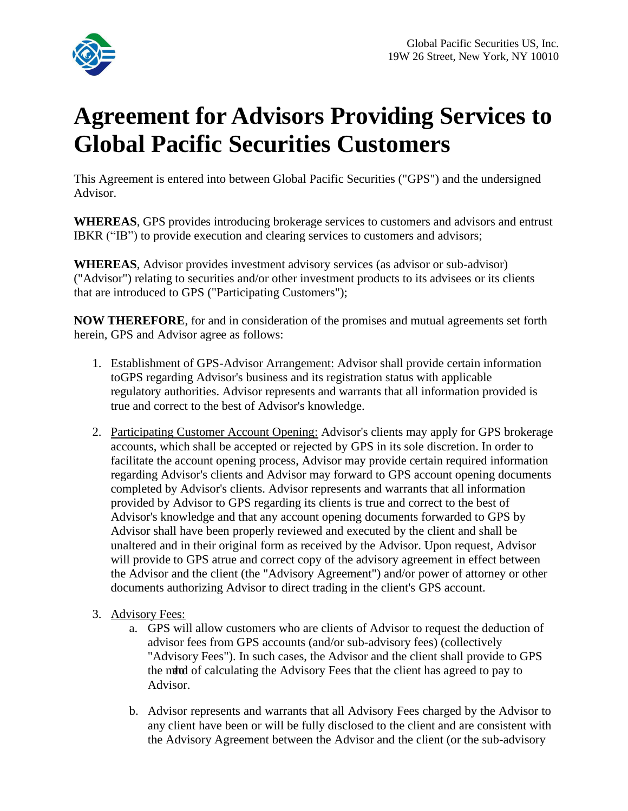

## **Agreement for Advisors Providing Services to Global Pacific Securities Customers**

This Agreement is entered into between Global Pacific Securities ("GPS") and the undersigned Advisor.

**WHEREAS**, GPS provides introducing brokerage services to customers and advisors and entrust IBKR ("IB") to provide execution and clearing services to customers and advisors;

**WHEREAS**, Advisor provides investment advisory services (as advisor or sub-advisor) ("Advisor") relating to securities and/or other investment products to its advisees or its clients that are introduced to GPS ("Participating Customers");

**NOW THEREFORE**, for and in consideration of the promises and mutual agreements set forth herein, GPS and Advisor agree as follows:

- 1. Establishment of GPS-Advisor Arrangement: Advisor shall provide certain information toGPS regarding Advisor's business and its registration status with applicable regulatory authorities. Advisor represents and warrants that all information provided is true and correct to the best of Advisor's knowledge.
- 2. Participating Customer Account Opening: Advisor's clients may apply for GPS brokerage accounts, which shall be accepted or rejected by GPS in its sole discretion. In order to facilitate the account opening process, Advisor may provide certain required information regarding Advisor's clients and Advisor may forward to GPS account opening documents completed by Advisor's clients. Advisor represents and warrants that all information provided by Advisor to GPS regarding its clients is true and correct to the best of Advisor's knowledge and that any account opening documents forwarded to GPS by Advisor shall have been properly reviewed and executed by the client and shall be unaltered and in their original form as received by the Advisor. Upon request, Advisor will provide to GPS atrue and correct copy of the advisory agreement in effect between the Advisor and the client (the "Advisory Agreement") and/or power of attorney or other documents authorizing Advisor to direct trading in the client's GPS account.
- 3. Advisory Fees:
	- a. GPS will allow customers who are clients of Advisor to request the deduction of advisor fees from GPS accounts (and/or sub-advisory fees) (collectively "Advisory Fees"). In such cases, the Advisor and the client shall provide to GPS the mund of calculating the Advisory Fees that the client has agreed to pay to Advisor.
	- b. Advisor represents and warrants that all Advisory Fees charged by the Advisor to any client have been or will be fully disclosed to the client and are consistent with the Advisory Agreement between the Advisor and the client (or the sub-advisory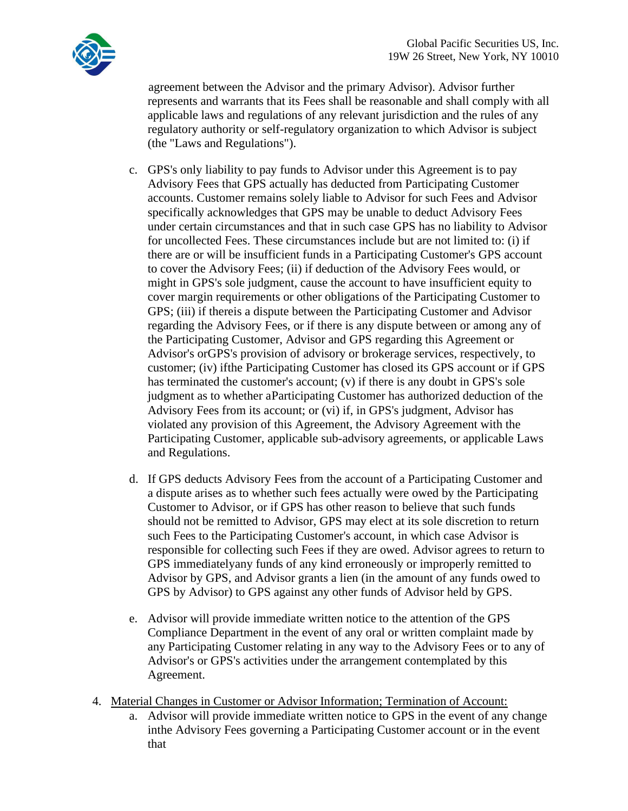

agreement between the Advisor and the primary Advisor). Advisor further represents and warrants that its Fees shall be reasonable and shall comply with all applicable laws and regulations of any relevant jurisdiction and the rules of any regulatory authority or self-regulatory organization to which Advisor is subject (the "Laws and Regulations").

- c. GPS's only liability to pay funds to Advisor under this Agreement is to pay Advisory Fees that GPS actually has deducted from Participating Customer accounts. Customer remains solely liable to Advisor for such Fees and Advisor specifically acknowledges that GPS may be unable to deduct Advisory Fees under certain circumstances and that in such case GPS has no liability to Advisor for uncollected Fees. These circumstances include but are not limited to: (i) if there are or will be insufficient funds in a Participating Customer's GPS account to cover the Advisory Fees; (ii) if deduction of the Advisory Fees would, or might in GPS's sole judgment, cause the account to have insufficient equity to cover margin requirements or other obligations of the Participating Customer to GPS; (iii) if thereis a dispute between the Participating Customer and Advisor regarding the Advisory Fees, or if there is any dispute between or among any of the Participating Customer, Advisor and GPS regarding this Agreement or Advisor's orGPS's provision of advisory or brokerage services, respectively, to customer; (iv) ifthe Participating Customer has closed its GPS account or if GPS has terminated the customer's account; (v) if there is any doubt in GPS's sole judgment as to whether aParticipating Customer has authorized deduction of the Advisory Fees from its account; or (vi) if, in GPS's judgment, Advisor has violated any provision of this Agreement, the Advisory Agreement with the Participating Customer, applicable sub-advisory agreements, or applicable Laws and Regulations.
- d. If GPS deducts Advisory Fees from the account of a Participating Customer and a dispute arises as to whether such fees actually were owed by the Participating Customer to Advisor, or if GPS has other reason to believe that such funds should not be remitted to Advisor, GPS may elect at its sole discretion to return such Fees to the Participating Customer's account, in which case Advisor is responsible for collecting such Fees if they are owed. Advisor agrees to return to GPS immediatelyany funds of any kind erroneously or improperly remitted to Advisor by GPS, and Advisor grants a lien (in the amount of any funds owed to GPS by Advisor) to GPS against any other funds of Advisor held by GPS.
- e. Advisor will provide immediate written notice to the attention of the GPS Compliance Department in the event of any oral or written complaint made by any Participating Customer relating in any way to the Advisory Fees or to any of Advisor's or GPS's activities under the arrangement contemplated by this Agreement.
- 4. Material Changes in Customer or Advisor Information; Termination of Account:
	- a. Advisor will provide immediate written notice to GPS in the event of any change inthe Advisory Fees governing a Participating Customer account or in the event that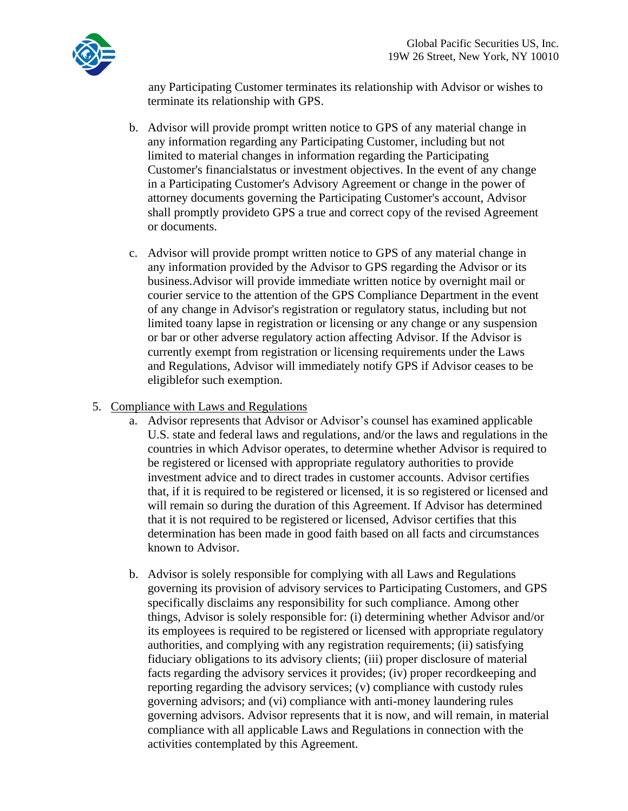any Participating Customer terminates its relationship with Advisor or wishes to terminate its relationship with GPS.

- b. Advisor will provide prompt written notice to GPS of any material change in any information regarding any Participating Customer, including but not limited to material changes in information regarding the Participating Customer's financialstatus or investment objectives. In the event of any change in a Participating Customer's Advisory Agreement or change in the power of attorney documents governing the Participating Customer's account, Advisor shall promptly provideto GPS a true and correct copy of the revised Agreement or documents.
- c. Advisor will provide prompt written notice to GPS of any material change in any information provided by the Advisor to GPS regarding the Advisor or its business.Advisor will provide immediate written notice by overnight mail or courier service to the attention of the GPS Compliance Department in the event of any change in Advisor's registration or regulatory status, including but not limited toany lapse in registration or licensing or any change or any suspension or bar or other adverse regulatory action affecting Advisor. If the Advisor is currently exempt from registration or licensing requirements under the Laws and Regulations, Advisor will immediately notify GPS if Advisor ceases to be eligiblefor such exemption.
- 5. Compliance with Laws and Regulations
	- a. Advisor represents that Advisor or Advisor's counsel has examined applicable U.S. state and federal laws and regulations, and/or the laws and regulations in the countries in which Advisor operates, to determine whether Advisor is required to be registered or licensed with appropriate regulatory authorities to provide investment advice and to direct trades in customer accounts. Advisor certifies that, if it is required to be registered or licensed, it is so registered or licensed and will remain so during the duration of this Agreement. If Advisor has determined that it is not required to be registered or licensed, Advisor certifies that this determination has been made in good faith based on all facts and circumstances known to Advisor.
	- b. Advisor is solely responsible for complying with all Laws and Regulations governing its provision of advisory services to Participating Customers, and GPS specifically disclaims any responsibility for such compliance. Among other things, Advisor is solely responsible for: (i) determining whether Advisor and/or its employees is required to be registered or licensed with appropriate regulatory authorities, and complying with any registration requirements; (ii) satisfying fiduciary obligations to its advisory clients; (iii) proper disclosure of material facts regarding the advisory services it provides; (iv) proper recordkeeping and reporting regarding the advisory services; (v) compliance with custody rules governing advisors; and (vi) compliance with anti-money laundering rules governing advisors. Advisor represents that it is now, and will remain, in material compliance with all applicable Laws and Regulations in connection with the activities contemplated by this Agreement.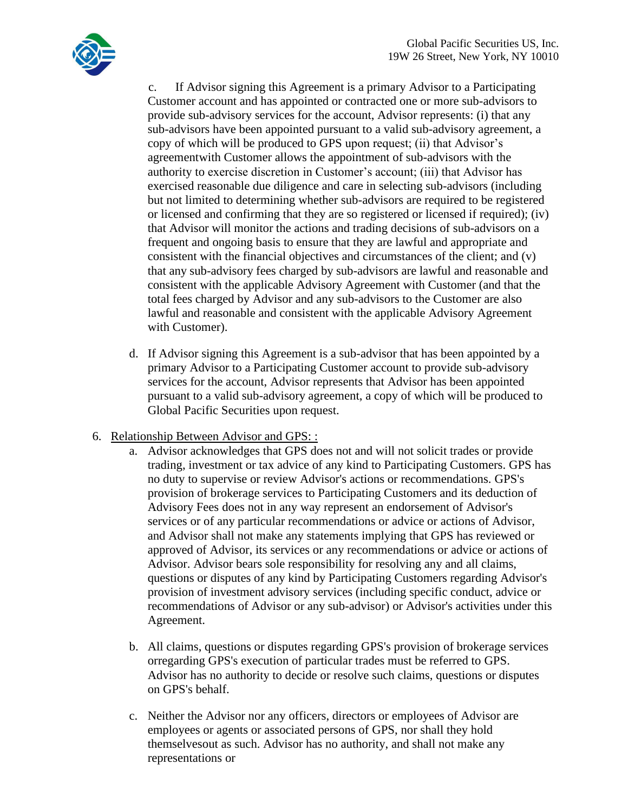

c. If Advisor signing this Agreement is a primary Advisor to a Participating Customer account and has appointed or contracted one or more sub-advisors to provide sub-advisory services for the account, Advisor represents: (i) that any sub-advisors have been appointed pursuant to a valid sub-advisory agreement, a copy of which will be produced to GPS upon request; (ii) that Advisor's agreementwith Customer allows the appointment of sub-advisors with the authority to exercise discretion in Customer's account; (iii) that Advisor has exercised reasonable due diligence and care in selecting sub-advisors (including but not limited to determining whether sub-advisors are required to be registered or licensed and confirming that they are so registered or licensed if required); (iv) that Advisor will monitor the actions and trading decisions of sub-advisors on a frequent and ongoing basis to ensure that they are lawful and appropriate and consistent with the financial objectives and circumstances of the client; and (v) that any sub-advisory fees charged by sub-advisors are lawful and reasonable and consistent with the applicable Advisory Agreement with Customer (and that the total fees charged by Advisor and any sub-advisors to the Customer are also lawful and reasonable and consistent with the applicable Advisory Agreement with Customer).

- d. If Advisor signing this Agreement is a sub-advisor that has been appointed by a primary Advisor to a Participating Customer account to provide sub-advisory services for the account, Advisor represents that Advisor has been appointed pursuant to a valid sub-advisory agreement, a copy of which will be produced to Global Pacific Securities upon request.
- 6. Relationship Between Advisor and GPS: :
	- a. Advisor acknowledges that GPS does not and will not solicit trades or provide trading, investment or tax advice of any kind to Participating Customers. GPS has no duty to supervise or review Advisor's actions or recommendations. GPS's provision of brokerage services to Participating Customers and its deduction of Advisory Fees does not in any way represent an endorsement of Advisor's services or of any particular recommendations or advice or actions of Advisor, and Advisor shall not make any statements implying that GPS has reviewed or approved of Advisor, its services or any recommendations or advice or actions of Advisor. Advisor bears sole responsibility for resolving any and all claims, questions or disputes of any kind by Participating Customers regarding Advisor's provision of investment advisory services (including specific conduct, advice or recommendations of Advisor or any sub-advisor) or Advisor's activities under this Agreement.
	- b. All claims, questions or disputes regarding GPS's provision of brokerage services orregarding GPS's execution of particular trades must be referred to GPS. Advisor has no authority to decide or resolve such claims, questions or disputes on GPS's behalf.
	- c. Neither the Advisor nor any officers, directors or employees of Advisor are employees or agents or associated persons of GPS, nor shall they hold themselvesout as such. Advisor has no authority, and shall not make any representations or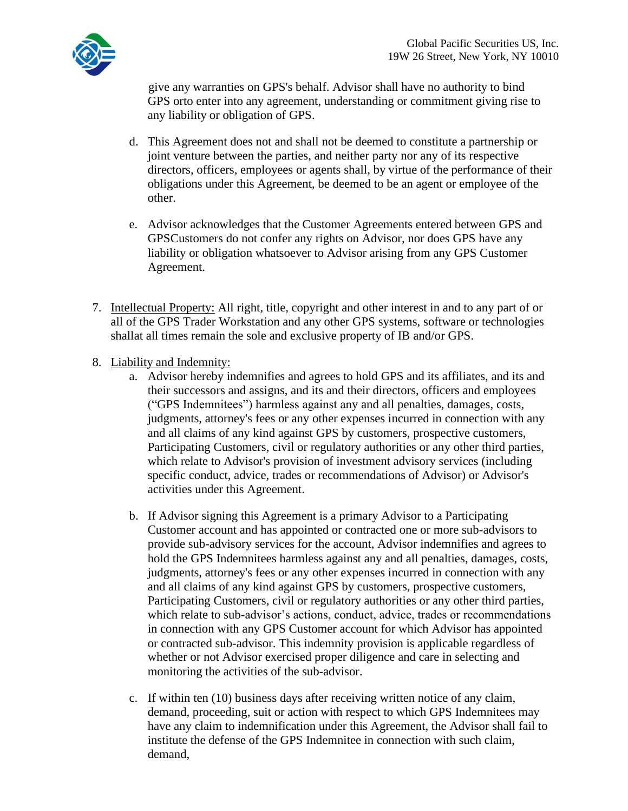

give any warranties on GPS's behalf. Advisor shall have no authority to bind GPS orto enter into any agreement, understanding or commitment giving rise to any liability or obligation of GPS.

- d. This Agreement does not and shall not be deemed to constitute a partnership or joint venture between the parties, and neither party nor any of its respective directors, officers, employees or agents shall, by virtue of the performance of their obligations under this Agreement, be deemed to be an agent or employee of the other.
- e. Advisor acknowledges that the Customer Agreements entered between GPS and GPSCustomers do not confer any rights on Advisor, nor does GPS have any liability or obligation whatsoever to Advisor arising from any GPS Customer Agreement.
- 7. Intellectual Property: All right, title, copyright and other interest in and to any part of or all of the GPS Trader Workstation and any other GPS systems, software or technologies shallat all times remain the sole and exclusive property of IB and/or GPS.
- 8. Liability and Indemnity:
	- a. Advisor hereby indemnifies and agrees to hold GPS and its affiliates, and its and their successors and assigns, and its and their directors, officers and employees ("GPS Indemnitees") harmless against any and all penalties, damages, costs, judgments, attorney's fees or any other expenses incurred in connection with any and all claims of any kind against GPS by customers, prospective customers, Participating Customers, civil or regulatory authorities or any other third parties, which relate to Advisor's provision of investment advisory services (including specific conduct, advice, trades or recommendations of Advisor) or Advisor's activities under this Agreement.
	- b. If Advisor signing this Agreement is a primary Advisor to a Participating Customer account and has appointed or contracted one or more sub-advisors to provide sub-advisory services for the account, Advisor indemnifies and agrees to hold the GPS Indemnitees harmless against any and all penalties, damages, costs, judgments, attorney's fees or any other expenses incurred in connection with any and all claims of any kind against GPS by customers, prospective customers, Participating Customers, civil or regulatory authorities or any other third parties, which relate to sub-advisor's actions, conduct, advice, trades or recommendations in connection with any GPS Customer account for which Advisor has appointed or contracted sub-advisor. This indemnity provision is applicable regardless of whether or not Advisor exercised proper diligence and care in selecting and monitoring the activities of the sub-advisor.
	- c. If within ten (10) business days after receiving written notice of any claim, demand, proceeding, suit or action with respect to which GPS Indemnitees may have any claim to indemnification under this Agreement, the Advisor shall fail to institute the defense of the GPS Indemnitee in connection with such claim, demand,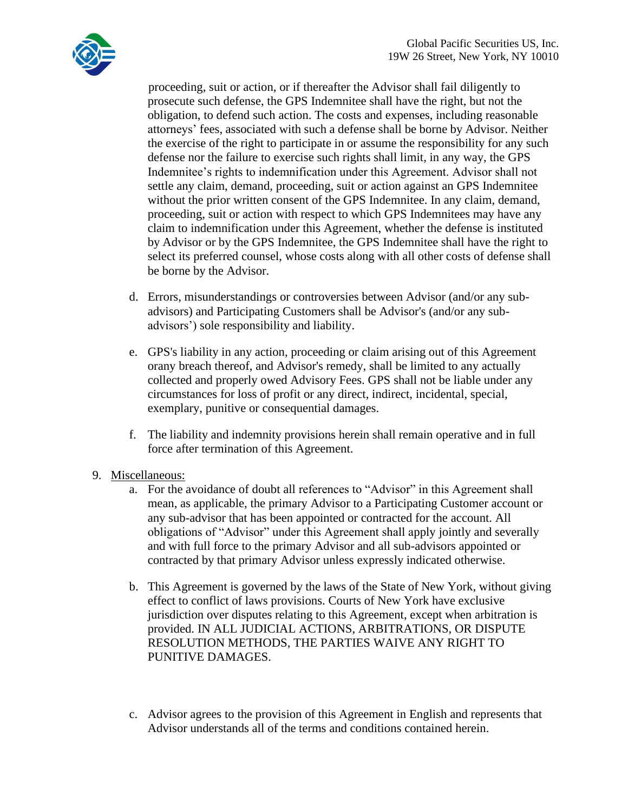

proceeding, suit or action, or if thereafter the Advisor shall fail diligently to prosecute such defense, the GPS Indemnitee shall have the right, but not the obligation, to defend such action. The costs and expenses, including reasonable attorneys' fees, associated with such a defense shall be borne by Advisor. Neither the exercise of the right to participate in or assume the responsibility for any such defense nor the failure to exercise such rights shall limit, in any way, the GPS Indemnitee's rights to indemnification under this Agreement. Advisor shall not settle any claim, demand, proceeding, suit or action against an GPS Indemnitee without the prior written consent of the GPS Indemnitee. In any claim, demand, proceeding, suit or action with respect to which GPS Indemnitees may have any claim to indemnification under this Agreement, whether the defense is instituted by Advisor or by the GPS Indemnitee, the GPS Indemnitee shall have the right to select its preferred counsel, whose costs along with all other costs of defense shall be borne by the Advisor.

- d. Errors, misunderstandings or controversies between Advisor (and/or any subadvisors) and Participating Customers shall be Advisor's (and/or any subadvisors') sole responsibility and liability.
- e. GPS's liability in any action, proceeding or claim arising out of this Agreement orany breach thereof, and Advisor's remedy, shall be limited to any actually collected and properly owed Advisory Fees. GPS shall not be liable under any circumstances for loss of profit or any direct, indirect, incidental, special, exemplary, punitive or consequential damages.
- f. The liability and indemnity provisions herein shall remain operative and in full force after termination of this Agreement.
- 9. Miscellaneous:
	- a. For the avoidance of doubt all references to "Advisor" in this Agreement shall mean, as applicable, the primary Advisor to a Participating Customer account or any sub-advisor that has been appointed or contracted for the account. All obligations of "Advisor" under this Agreement shall apply jointly and severally and with full force to the primary Advisor and all sub-advisors appointed or contracted by that primary Advisor unless expressly indicated otherwise.
	- b. This Agreement is governed by the laws of the State of New York, without giving effect to conflict of laws provisions. Courts of New York have exclusive jurisdiction over disputes relating to this Agreement, except when arbitration is provided. IN ALL JUDICIAL ACTIONS, ARBITRATIONS, OR DISPUTE RESOLUTION METHODS, THE PARTIES WAIVE ANY RIGHT TO PUNITIVE DAMAGES.
	- c. Advisor agrees to the provision of this Agreement in English and represents that Advisor understands all of the terms and conditions contained herein.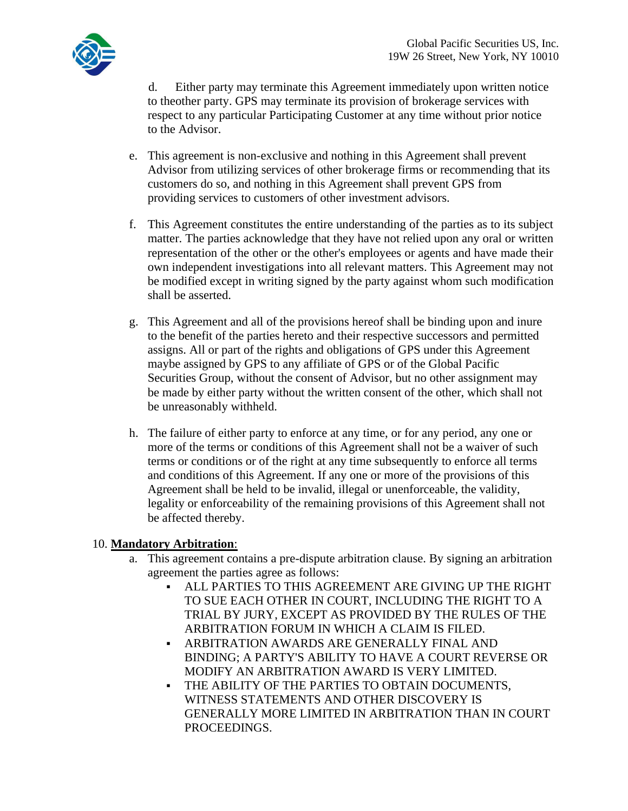

d. Either party may terminate this Agreement immediately upon written notice to theother party. GPS may terminate its provision of brokerage services with respect to any particular Participating Customer at any time without prior notice to the Advisor.

- e. This agreement is non-exclusive and nothing in this Agreement shall prevent Advisor from utilizing services of other brokerage firms or recommending that its customers do so, and nothing in this Agreement shall prevent GPS from providing services to customers of other investment advisors.
- f. This Agreement constitutes the entire understanding of the parties as to its subject matter. The parties acknowledge that they have not relied upon any oral or written representation of the other or the other's employees or agents and have made their own independent investigations into all relevant matters. This Agreement may not be modified except in writing signed by the party against whom such modification shall be asserted.
- g. This Agreement and all of the provisions hereof shall be binding upon and inure to the benefit of the parties hereto and their respective successors and permitted assigns. All or part of the rights and obligations of GPS under this Agreement maybe assigned by GPS to any affiliate of GPS or of the Global Pacific Securities Group, without the consent of Advisor, but no other assignment may be made by either party without the written consent of the other, which shall not be unreasonably withheld.
- h. The failure of either party to enforce at any time, or for any period, any one or more of the terms or conditions of this Agreement shall not be a waiver of such terms or conditions or of the right at any time subsequently to enforce all terms and conditions of this Agreement. If any one or more of the provisions of this Agreement shall be held to be invalid, illegal or unenforceable, the validity, legality or enforceability of the remaining provisions of this Agreement shall not be affected thereby.

## 10. **Mandatory Arbitration**:

- a. This agreement contains a pre-dispute arbitration clause. By signing an arbitration agreement the parties agree as follows:
	- ALL PARTIES TO THIS AGREEMENT ARE GIVING UP THE RIGHT TO SUE EACH OTHER IN COURT, INCLUDING THE RIGHT TO A TRIAL BY JURY, EXCEPT AS PROVIDED BY THE RULES OF THE ARBITRATION FORUM IN WHICH A CLAIM IS FILED.
	- ARBITRATION AWARDS ARE GENERALLY FINAL AND BINDING; A PARTY'S ABILITY TO HAVE A COURT REVERSE OR MODIFY AN ARBITRATION AWARD IS VERY LIMITED.
	- THE ABILITY OF THE PARTIES TO OBTAIN DOCUMENTS. WITNESS STATEMENTS AND OTHER DISCOVERY IS GENERALLY MORE LIMITED IN ARBITRATION THAN IN COURT PROCEEDINGS.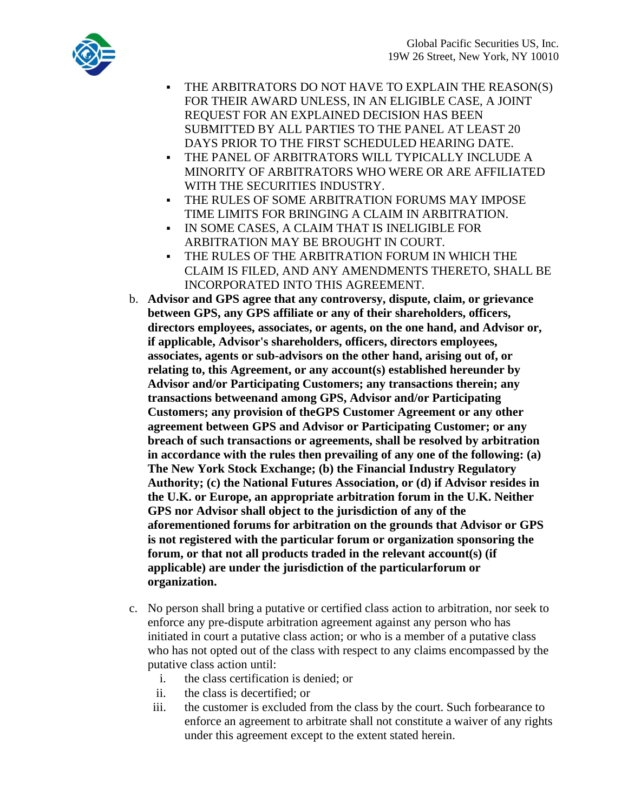

- THE ARBITRATORS DO NOT HAVE TO EXPLAIN THE REASON(S) FOR THEIR AWARD UNLESS, IN AN ELIGIBLE CASE, A JOINT REQUEST FOR AN EXPLAINED DECISION HAS BEEN SUBMITTED BY ALL PARTIES TO THE PANEL AT LEAST 20 DAYS PRIOR TO THE FIRST SCHEDULED HEARING DATE.
- THE PANEL OF ARBITRATORS WILL TYPICALLY INCLUDE A MINORITY OF ARBITRATORS WHO WERE OR ARE AFFILIATED WITH THE SECURITIES INDUSTRY.
- THE RULES OF SOME ARBITRATION FORUMS MAY IMPOSE TIME LIMITS FOR BRINGING A CLAIM IN ARBITRATION.
- IN SOME CASES, A CLAIM THAT IS INELIGIBLE FOR ARBITRATION MAY BE BROUGHT IN COURT.
- THE RULES OF THE ARBITRATION FORUM IN WHICH THE CLAIM IS FILED, AND ANY AMENDMENTS THERETO, SHALL BE INCORPORATED INTO THIS AGREEMENT.
- b. **Advisor and GPS agree that any controversy, dispute, claim, or grievance between GPS, any GPS affiliate or any of their shareholders, officers, directors employees, associates, or agents, on the one hand, and Advisor or, if applicable, Advisor's shareholders, officers, directors employees, associates, agents or sub-advisors on the other hand, arising out of, or relating to, this Agreement, or any account(s) established hereunder by Advisor and/or Participating Customers; any transactions therein; any transactions betweenand among GPS, Advisor and/or Participating Customers; any provision of theGPS Customer Agreement or any other agreement between GPS and Advisor or Participating Customer; or any breach of such transactions or agreements, shall be resolved by arbitration in accordance with the rules then prevailing of any one of the following: (a) The New York Stock Exchange; (b) the Financial Industry Regulatory Authority; (c) the National Futures Association, or (d) if Advisor resides in the U.K. or Europe, an appropriate arbitration forum in the U.K. Neither GPS nor Advisor shall object to the jurisdiction of any of the aforementioned forums for arbitration on the grounds that Advisor or GPS is not registered with the particular forum or organization sponsoring the forum, or that not all products traded in the relevant account(s) (if applicable) are under the jurisdiction of the particularforum or organization.**
- c. No person shall bring a putative or certified class action to arbitration, nor seek to enforce any pre-dispute arbitration agreement against any person who has initiated in court a putative class action; or who is a member of a putative class who has not opted out of the class with respect to any claims encompassed by the putative class action until:
	- i. the class certification is denied; or
	- ii. the class is decertified; or
	- iii. the customer is excluded from the class by the court. Such forbearance to enforce an agreement to arbitrate shall not constitute a waiver of any rights under this agreement except to the extent stated herein.